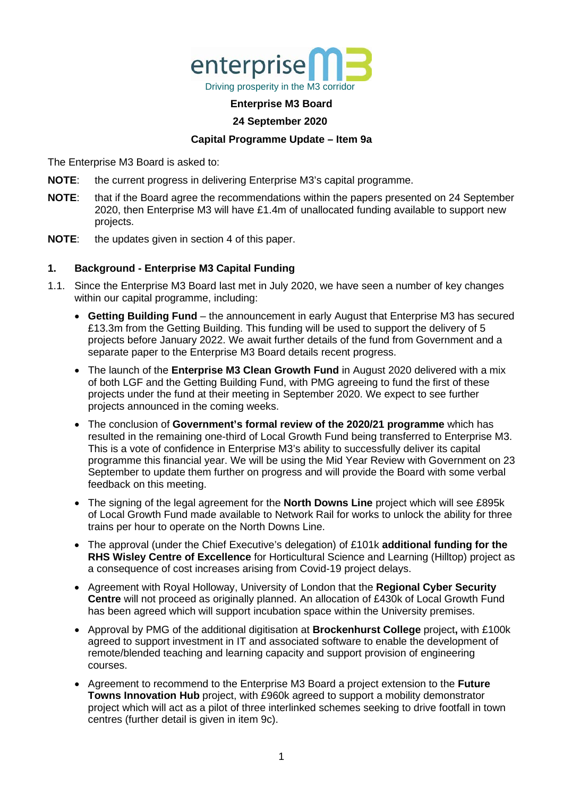

#### **Enterprise M3 Board**

#### **24 September 2020**

#### **Capital Programme Update – Item 9a**

The Enterprise M3 Board is asked to:

- **NOTE**: the current progress in delivering Enterprise M3's capital programme.
- **NOTE**: that if the Board agree the recommendations within the papers presented on 24 September 2020, then Enterprise M3 will have £1.4m of unallocated funding available to support new projects.
- **NOTE**: the updates given in section 4 of this paper.

#### **1. Background - Enterprise M3 Capital Funding**

- 1.1. Since the Enterprise M3 Board last met in July 2020, we have seen a number of key changes within our capital programme, including:
	- **Getting Building Fund** the announcement in early August that Enterprise M3 has secured £13.3m from the Getting Building. This funding will be used to support the delivery of 5 projects before January 2022. We await further details of the fund from Government and a separate paper to the Enterprise M3 Board details recent progress.
	- The launch of the **Enterprise M3 Clean Growth Fund** in August 2020 delivered with a mix of both LGF and the Getting Building Fund, with PMG agreeing to fund the first of these projects under the fund at their meeting in September 2020. We expect to see further projects announced in the coming weeks.
	- The conclusion of **Government's formal review of the 2020/21 programme** which has resulted in the remaining one-third of Local Growth Fund being transferred to Enterprise M3. This is a vote of confidence in Enterprise M3's ability to successfully deliver its capital programme this financial year. We will be using the Mid Year Review with Government on 23 September to update them further on progress and will provide the Board with some verbal feedback on this meeting.
	- The signing of the legal agreement for the **North Downs Line** project which will see £895k of Local Growth Fund made available to Network Rail for works to unlock the ability for three trains per hour to operate on the North Downs Line.
	- The approval (under the Chief Executive's delegation) of £101k **additional funding for the RHS Wisley Centre of Excellence** for Horticultural Science and Learning (Hilltop) project as a consequence of cost increases arising from Covid-19 project delays.
	- Agreement with Royal Holloway, University of London that the **Regional Cyber Security Centre** will not proceed as originally planned. An allocation of £430k of Local Growth Fund has been agreed which will support incubation space within the University premises.
	- Approval by PMG of the additional digitisation at **Brockenhurst College** project**,** with £100k agreed to support investment in IT and associated software to enable the development of remote/blended teaching and learning capacity and support provision of engineering courses.
	- Agreement to recommend to the Enterprise M3 Board a project extension to the **Future Towns Innovation Hub** project, with £960k agreed to support a mobility demonstrator project which will act as a pilot of three interlinked schemes seeking to drive footfall in town centres (further detail is given in item 9c).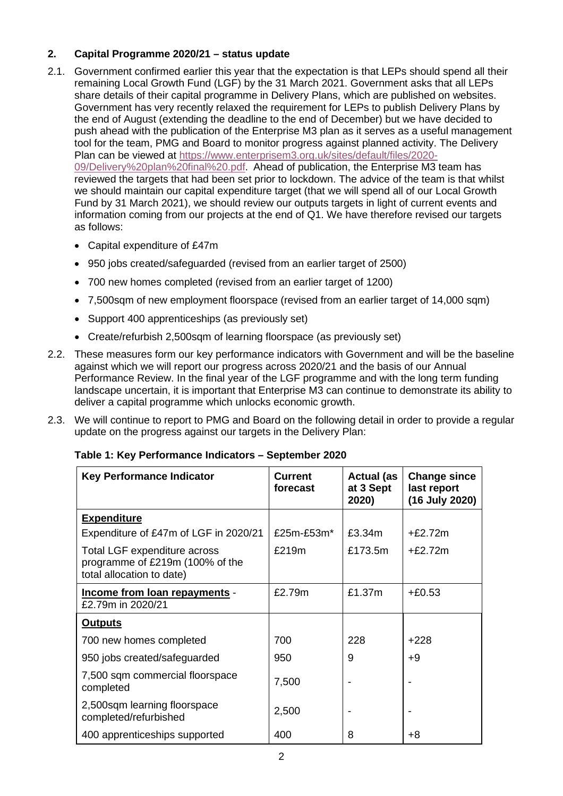# **2. Capital Programme 2020/21 – status update**

- 2.1. Government confirmed earlier this year that the expectation is that LEPs should spend all their remaining Local Growth Fund (LGF) by the 31 March 2021. Government asks that all LEPs share details of their capital programme in Delivery Plans, which are published on websites. Government has very recently relaxed the requirement for LEPs to publish Delivery Plans by the end of August (extending the deadline to the end of December) but we have decided to push ahead with the publication of the Enterprise M3 plan as it serves as a useful management tool for the team, PMG and Board to monitor progress against planned activity. The Delivery Plan can be viewed at [https://www.enterprisem3.org.uk/sites/default/files/2020-](https://www.enterprisem3.org.uk/sites/default/files/2020-09/Delivery%20plan%20final%20.pdf) [09/Delivery%20plan%20final%20.pdf.](https://www.enterprisem3.org.uk/sites/default/files/2020-09/Delivery%20plan%20final%20.pdf) Ahead of publication, the Enterprise M3 team has reviewed the targets that had been set prior to lockdown. The advice of the team is that whilst we should maintain our capital expenditure target (that we will spend all of our Local Growth Fund by 31 March 2021), we should review our outputs targets in light of current events and information coming from our projects at the end of Q1. We have therefore revised our targets as follows:
	- Capital expenditure of £47m
	- 950 jobs created/safeguarded (revised from an earlier target of 2500)
	- 700 new homes completed (revised from an earlier target of 1200)
	- 7,500sqm of new employment floorspace (revised from an earlier target of 14,000 sqm)
	- Support 400 apprenticeships (as previously set)
	- Create/refurbish 2,500sqm of learning floorspace (as previously set)
- 2.2. These measures form our key performance indicators with Government and will be the baseline against which we will report our progress across 2020/21 and the basis of our Annual Performance Review. In the final year of the LGF programme and with the long term funding landscape uncertain, it is important that Enterprise M3 can continue to demonstrate its ability to deliver a capital programme which unlocks economic growth.
- 2.3. We will continue to report to PMG and Board on the following detail in order to provide a regular update on the progress against our targets in the Delivery Plan:

| <b>Key Performance Indicator</b>                                                             | <b>Current</b><br>forecast | <b>Actual (as</b><br>at 3 Sept<br>2020) | <b>Change since</b><br>last report<br>(16 July 2020) |
|----------------------------------------------------------------------------------------------|----------------------------|-----------------------------------------|------------------------------------------------------|
| <b>Expenditure</b>                                                                           |                            |                                         |                                                      |
| Expenditure of £47m of LGF in 2020/21                                                        | $£25m-E53m*$               | £3.34m                                  | $+£2.72m$                                            |
| Total LGF expenditure across<br>programme of £219m (100% of the<br>total allocation to date) | £219m                      | £173.5m                                 | $+f2.72m$                                            |
| Income from loan repayments -<br>£2.79m in 2020/21                                           | £2.79m                     | £1.37m                                  | $+£0.53$                                             |
| <b>Outputs</b>                                                                               |                            |                                         |                                                      |
| 700 new homes completed                                                                      | 700                        | 228                                     | $+228$                                               |
| 950 jobs created/safeguarded                                                                 | 950                        | 9                                       | $+9$                                                 |
| 7,500 sqm commercial floorspace<br>completed                                                 | 7,500                      |                                         |                                                      |
| 2,500sqm learning floorspace<br>completed/refurbished                                        | 2,500                      |                                         |                                                      |
| 400 apprenticeships supported                                                                | 400                        | 8                                       | +8                                                   |

# **Table 1: Key Performance Indicators – September 2020**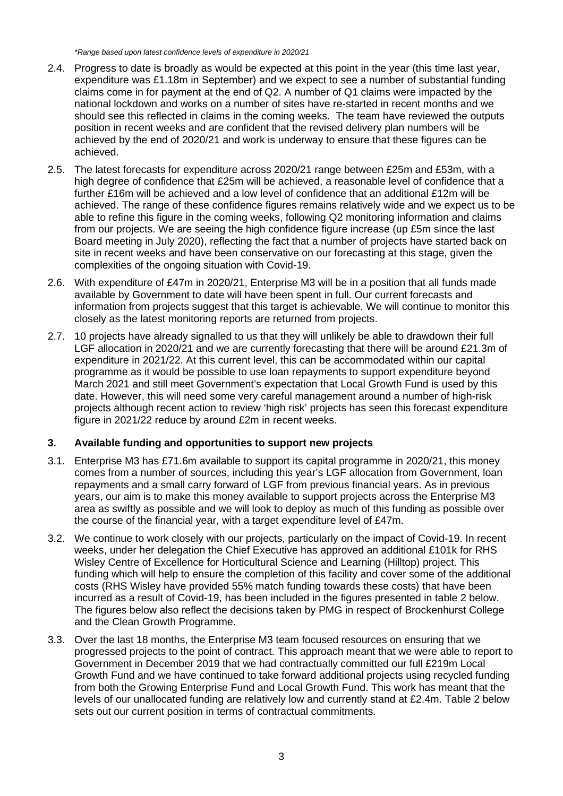*\*Range based upon latest confidence levels of expenditure in 2020/21* 

- 2.4. Progress to date is broadly as would be expected at this point in the year (this time last year, expenditure was £1.18m in September) and we expect to see a number of substantial funding claims come in for payment at the end of Q2. A number of Q1 claims were impacted by the national lockdown and works on a number of sites have re-started in recent months and we should see this reflected in claims in the coming weeks. The team have reviewed the outputs position in recent weeks and are confident that the revised delivery plan numbers will be achieved by the end of 2020/21 and work is underway to ensure that these figures can be achieved.
- 2.5. The latest forecasts for expenditure across 2020/21 range between £25m and £53m, with a high degree of confidence that £25m will be achieved, a reasonable level of confidence that a further £16m will be achieved and a low level of confidence that an additional £12m will be achieved. The range of these confidence figures remains relatively wide and we expect us to be able to refine this figure in the coming weeks, following Q2 monitoring information and claims from our projects. We are seeing the high confidence figure increase (up £5m since the last Board meeting in July 2020), reflecting the fact that a number of projects have started back on site in recent weeks and have been conservative on our forecasting at this stage, given the complexities of the ongoing situation with Covid-19.
- 2.6. With expenditure of £47m in 2020/21, Enterprise M3 will be in a position that all funds made available by Government to date will have been spent in full. Our current forecasts and information from projects suggest that this target is achievable. We will continue to monitor this closely as the latest monitoring reports are returned from projects.
- 2.7. 10 projects have already signalled to us that they will unlikely be able to drawdown their full LGF allocation in 2020/21 and we are currently forecasting that there will be around £21.3m of expenditure in 2021/22. At this current level, this can be accommodated within our capital programme as it would be possible to use loan repayments to support expenditure beyond March 2021 and still meet Government's expectation that Local Growth Fund is used by this date. However, this will need some very careful management around a number of high-risk projects although recent action to review 'high risk' projects has seen this forecast expenditure figure in 2021/22 reduce by around £2m in recent weeks.

# **3. Available funding and opportunities to support new projects**

- 3.1. Enterprise M3 has £71.6m available to support its capital programme in 2020/21, this money comes from a number of sources, including this year's LGF allocation from Government, loan repayments and a small carry forward of LGF from previous financial years. As in previous years, our aim is to make this money available to support projects across the Enterprise M3 area as swiftly as possible and we will look to deploy as much of this funding as possible over the course of the financial year, with a target expenditure level of £47m.
- 3.2. We continue to work closely with our projects, particularly on the impact of Covid-19. In recent weeks, under her delegation the Chief Executive has approved an additional £101k for RHS Wisley Centre of Excellence for Horticultural Science and Learning (Hilltop) project. This funding which will help to ensure the completion of this facility and cover some of the additional costs (RHS Wisley have provided 55% match funding towards these costs) that have been incurred as a result of Covid-19, has been included in the figures presented in table 2 below. The figures below also reflect the decisions taken by PMG in respect of Brockenhurst College and the Clean Growth Programme.
- 3.3. Over the last 18 months, the Enterprise M3 team focused resources on ensuring that we progressed projects to the point of contract. This approach meant that we were able to report to Government in December 2019 that we had contractually committed our full £219m Local Growth Fund and we have continued to take forward additional projects using recycled funding from both the Growing Enterprise Fund and Local Growth Fund. This work has meant that the levels of our unallocated funding are relatively low and currently stand at £2.4m. Table 2 below sets out our current position in terms of contractual commitments.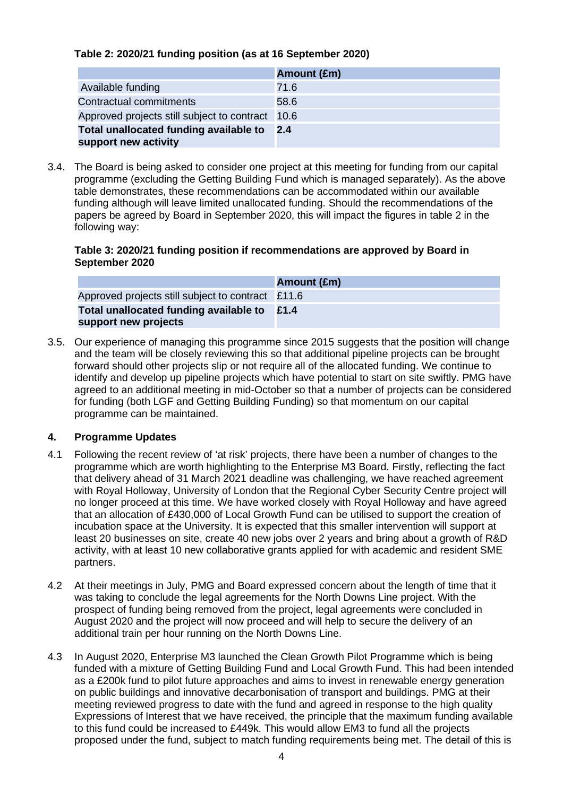#### **Table 2: 2020/21 funding position (as at 16 September 2020)**

|                                                                | Amount (£m) |
|----------------------------------------------------------------|-------------|
| Available funding                                              | 71.6        |
| Contractual commitments                                        | 58.6        |
| Approved projects still subject to contract 10.6               |             |
| Total unallocated funding available to<br>support new activity | 2.4         |

3.4. The Board is being asked to consider one project at this meeting for funding from our capital programme (excluding the Getting Building Fund which is managed separately). As the above table demonstrates, these recommendations can be accommodated within our available funding although will leave limited unallocated funding. Should the recommendations of the papers be agreed by Board in September 2020, this will impact the figures in table 2 in the following way:

#### **Table 3: 2020/21 funding position if recommendations are approved by Board in September 2020**

|                                                   | Amount (£m) |
|---------------------------------------------------|-------------|
| Approved projects still subject to contract £11.6 |             |
| Total unallocated funding available to $£1.4$     |             |
| support new projects                              |             |

3.5. Our experience of managing this programme since 2015 suggests that the position will change and the team will be closely reviewing this so that additional pipeline projects can be brought forward should other projects slip or not require all of the allocated funding. We continue to identify and develop up pipeline projects which have potential to start on site swiftly. PMG have agreed to an additional meeting in mid-October so that a number of projects can be considered for funding (both LGF and Getting Building Funding) so that momentum on our capital programme can be maintained.

# **4. Programme Updates**

- 4.1 Following the recent review of 'at risk' projects, there have been a number of changes to the programme which are worth highlighting to the Enterprise M3 Board. Firstly, reflecting the fact that delivery ahead of 31 March 2021 deadline was challenging, we have reached agreement with Royal Holloway, University of London that the Regional Cyber Security Centre project will no longer proceed at this time. We have worked closely with Royal Holloway and have agreed that an allocation of £430,000 of Local Growth Fund can be utilised to support the creation of incubation space at the University. It is expected that this smaller intervention will support at least 20 businesses on site, create 40 new jobs over 2 years and bring about a growth of R&D activity, with at least 10 new collaborative grants applied for with academic and resident SME partners.
- 4.2 At their meetings in July, PMG and Board expressed concern about the length of time that it was taking to conclude the legal agreements for the North Downs Line project. With the prospect of funding being removed from the project, legal agreements were concluded in August 2020 and the project will now proceed and will help to secure the delivery of an additional train per hour running on the North Downs Line.
- 4.3 In August 2020, Enterprise M3 launched the Clean Growth Pilot Programme which is being funded with a mixture of Getting Building Fund and Local Growth Fund. This had been intended as a £200k fund to pilot future approaches and aims to invest in renewable energy generation on public buildings and innovative decarbonisation of transport and buildings. PMG at their meeting reviewed progress to date with the fund and agreed in response to the high quality Expressions of Interest that we have received, the principle that the maximum funding available to this fund could be increased to £449k. This would allow EM3 to fund all the projects proposed under the fund, subject to match funding requirements being met. The detail of this is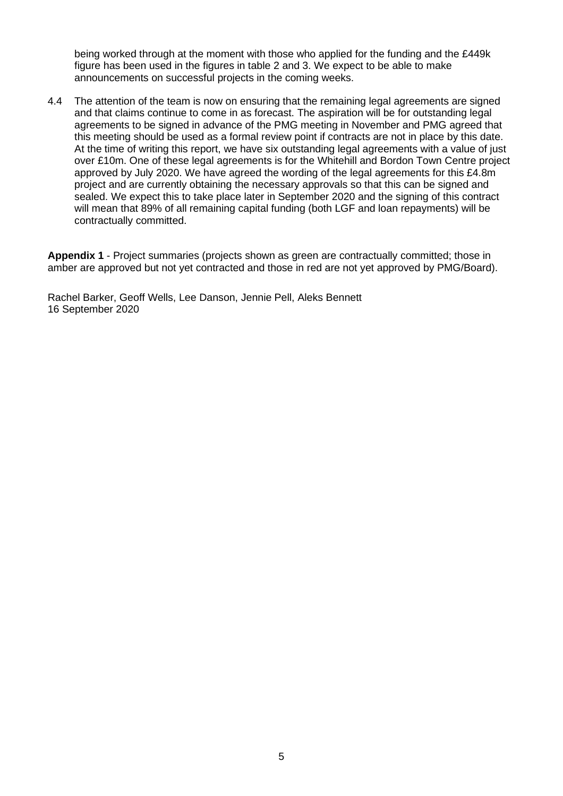being worked through at the moment with those who applied for the funding and the £449k figure has been used in the figures in table 2 and 3. We expect to be able to make announcements on successful projects in the coming weeks.

4.4 The attention of the team is now on ensuring that the remaining legal agreements are signed and that claims continue to come in as forecast. The aspiration will be for outstanding legal agreements to be signed in advance of the PMG meeting in November and PMG agreed that this meeting should be used as a formal review point if contracts are not in place by this date. At the time of writing this report, we have six outstanding legal agreements with a value of just over £10m. One of these legal agreements is for the Whitehill and Bordon Town Centre project approved by July 2020. We have agreed the wording of the legal agreements for this £4.8m project and are currently obtaining the necessary approvals so that this can be signed and sealed. We expect this to take place later in September 2020 and the signing of this contract will mean that 89% of all remaining capital funding (both LGF and loan repayments) will be contractually committed.

**Appendix 1** - Project summaries (projects shown as green are contractually committed; those in amber are approved but not yet contracted and those in red are not yet approved by PMG/Board).

Rachel Barker, Geoff Wells, Lee Danson, Jennie Pell, Aleks Bennett 16 September 2020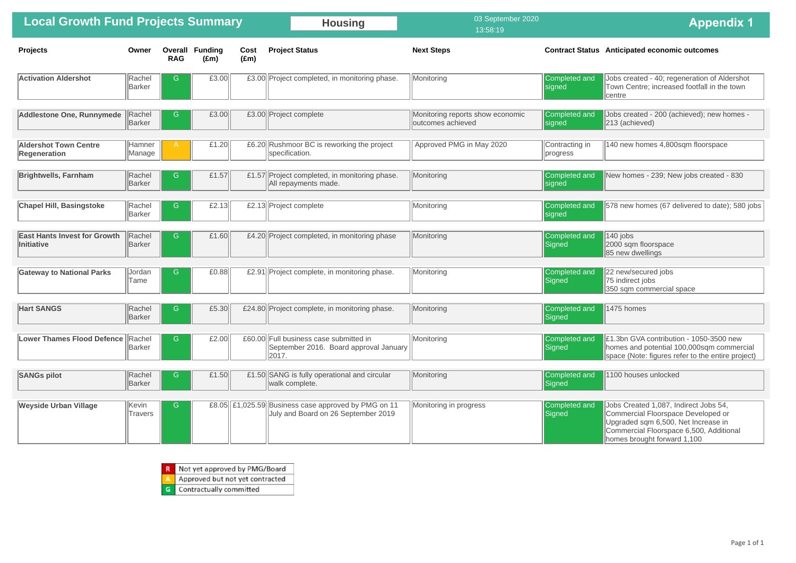Jobs created - 200 (achieved); new homes -213 (achieved)

140 new homes 4,800sqm floorspace

New homes - 239; New jobs created - 830

Jobs created - 40; regeneration of Aldershot Town Centre; increased footfall in the town centre

578 new homes (67 delivered to date); 580 jobs

 $\sqrt{140}$  jobs 2000 sqm floorspace 85 new dwellings

22 new/secured jobs 75 indirect jobs 350 sqm commercial space

1475 homes

**E1.3bn GVA contribution - 1050-3500 new** homes and potential 100,000sqm commercial space (Note: figures refer to the entire project)

1100 houses unlocked

| <b>Local Growth Fund Projects Summary</b>           |                         |                       |                                 |                       | <b>Housing</b>                                                                                  | 03 September 2020<br>13:58:19                         |                            |
|-----------------------------------------------------|-------------------------|-----------------------|---------------------------------|-----------------------|-------------------------------------------------------------------------------------------------|-------------------------------------------------------|----------------------------|
| <b>Projects</b>                                     | Owner                   | Overall<br><b>RAG</b> | <b>Funding</b><br>$(\text{Em})$ | Cost<br>$(\text{Em})$ | <b>Project Status</b>                                                                           | <b>Next Steps</b>                                     | <b>Contract Status</b>     |
| <b>Activation Aldershot</b>                         | Rachel<br>Barker        | G                     | £3.00                           |                       | £3.00 Project completed, in monitoring phase.                                                   | Monitoring                                            | Completed and<br>signed    |
| <b>Addlestone One, Runnymede</b>                    | Rachel<br>Barker        | G                     | £3.00                           |                       | £3.00 Project complete                                                                          | Monitoring reports show economic<br>outcomes achieved | Completed and<br>signed    |
| <b>Aldershot Town Centre</b><br><b>Regeneration</b> | Hamner<br>Manage        | Α                     | £1.20                           |                       | £6.20 Rushmoor BC is reworking the project<br>specification.                                    | Approved PMG in May 2020                              | Contracting in<br>progress |
| <b>Brightwells, Farnham</b>                         | Rachel<br>Barker        | G                     | £1.57                           |                       | £1.57 Project completed, in monitoring phase.<br>All repayments made.                           | Monitoring                                            | Completed and<br>signed    |
| <b>Chapel Hill, Basingstoke</b>                     | Rachel<br>Barker        | G                     | £2.13                           |                       | £2.13 Project complete                                                                          | Monitoring                                            | Completed and<br>signed    |
| <b>East Hants Invest for Growth</b><br>Initiative   | Rachel<br>Barker        | G                     | £1.60                           |                       | £4.20 Project completed, in monitoring phase                                                    | Monitoring                                            | Completed and<br>Signed    |
| <b>Gateway to National Parks</b>                    | Jordan<br>Tame          | G                     | £0.88                           |                       | £2.91 Project complete, in monitoring phase.                                                    | Monitoring                                            | Completed and<br>Signed    |
| <b>Hart SANGS</b>                                   | Rachel<br>Barker        | G.                    | £5.30                           |                       | £24.80 Project complete, in monitoring phase.                                                   | Monitoring                                            | Completed and<br>Signed    |
| <b>Lower Thames Flood Defence</b>                   | Rachel<br>Barker        | G                     | £2.00                           |                       | £60.00 Full business case submitted in<br>September 2016. Board approval January<br>2017.       | Monitoring                                            | Completed and<br>Signed    |
| <b>SANGs pilot</b>                                  | Rachel<br>Barker        | G                     | £1.50                           |                       | £1.50 SANG is fully operational and circular<br>walk complete.                                  | Monitoring                                            | Completed and<br>Signed    |
| <b>Weyside Urban Village</b>                        | Kevin<br><b>Travers</b> | G                     |                                 |                       | £8.05 $\ $ £1,025.59 Business case approved by PMG on 11<br>July and Board on 26 September 2019 | Monitoring in progress                                | Completed and<br>Signed    |

|  | R Not yet approved by PMG/Board |  |
|--|---------------------------------|--|
|--|---------------------------------|--|

Approved but not yet contracted

Contractually committed  $\mathbf{G}$ 

Jobs Created 1,087, Indirect Jobs 54, Commercial Floorspace Developed or Upgraded sqm 6,500, Net Increase in Commercial Floorspace 6,500, Additional homes brought forward 1,100

# **Appendix 1**

#### **Anticipated economic outcomes**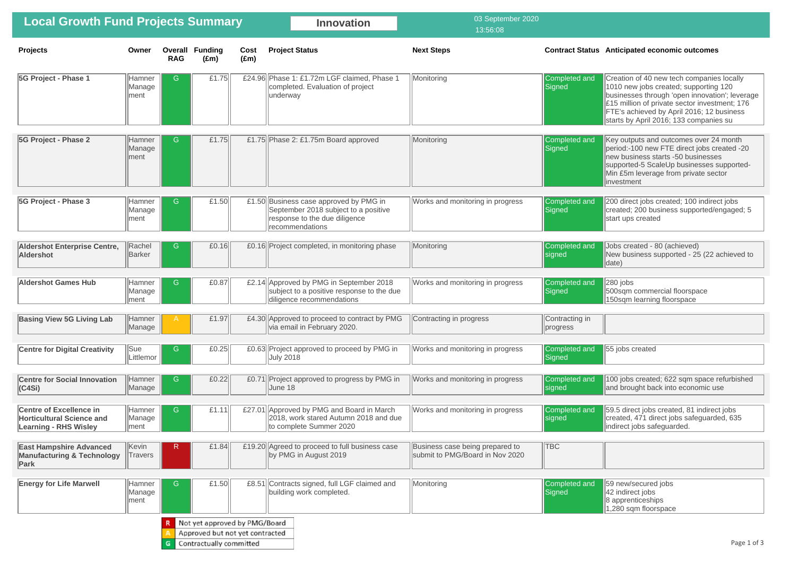Creation of 40 new tech companies locally 1010 new jobs created; supporting 120 businesses through 'open innovation'; leverage  $\left|\varepsilon\right|$  15 million of private sector investment; 176 FTE's achieved by April 2016; 12 business starts by April 2016; 133 companies su

Key outputs and outcomes over 24 month period: -100 new FTE direct jobs created -20 new business starts -50 businesses supported-5 ScaleUp businesses supported-Min £5m leverage from private sector **linvestment** 

200 direct jobs created; 100 indirect jobs created; 200 business supported/engaged; 5 start ups created

Jobs created - 80 (achieved) New business supported - 25 (22 achieved to  $\parallel$ date)

 $\sqrt{280}$  jobs 500sqm commercial floorspace 150sqm learning floorspace

55 jobs created

| <b>Local Growth Fund Projects Summary</b>                                                          |                           |              |                                         |                       | <b>Innovation</b>                                                                                                                  | 03 September 2020<br>13:56:08                                      |                                |
|----------------------------------------------------------------------------------------------------|---------------------------|--------------|-----------------------------------------|-----------------------|------------------------------------------------------------------------------------------------------------------------------------|--------------------------------------------------------------------|--------------------------------|
| <b>Projects</b>                                                                                    | Owner                     | <b>RAG</b>   | <b>Overall Funding</b><br>$(\text{Em})$ | Cost<br>$(\text{Em})$ | <b>Project Status</b>                                                                                                              | <b>Next Steps</b>                                                  | <b>Contract Status</b>         |
| 5G Project - Phase 1                                                                               | Hamner<br>Manage<br>ment  | G            | £1.75                                   |                       | £24.96 Phase 1: £1.72m LGF claimed, Phase 1<br>completed. Evaluation of project<br>underway                                        | Monitoring                                                         | Completed and<br>Signed        |
| 5G Project - Phase 2                                                                               | Hamner<br>Manage<br>ment  | G            | £1.75                                   |                       | £1.75 Phase 2: £1.75 m Board approved                                                                                              | Monitoring                                                         | Completed and<br>Signed        |
| 5G Project - Phase 3                                                                               | Hamner<br>Manage<br> ment | G            | £1.50                                   |                       | £1.50 Business case approved by PMG in<br>September 2018 subject to a positive<br>response to the due diligence<br>recommendations | Works and monitoring in progress                                   | Completed and<br>Signed        |
| <b>Aldershot Enterprise Centre,</b><br><b>Aldershot</b>                                            | Rachel<br>Barker          | G            | £0.16                                   |                       | £0.16 Project completed, in monitoring phase                                                                                       | Monitoring                                                         | Completed and<br><b>Signed</b> |
| <b>Aldershot Games Hub</b>                                                                         | Hamner<br>Manage<br> ment | G            | £0.87                                   |                       | £2.14 Approved by PMG in September 2018<br>subject to a positive response to the due<br>diligence recommendations                  | Works and monitoring in progress                                   | Completed and<br>Signed        |
| <b>Basing View 5G Living Lab</b>                                                                   | Hamner<br>Manage          | A            | £1.97                                   |                       | £4.30 Approved to proceed to contract by PMG<br>via email in February 2020.                                                        | Contracting in progress                                            | Contracting in<br>progress     |
| <b>Centre for Digital Creativity</b>                                                               | Sue<br>Littlemor          | G            | £0.25                                   |                       | £0.63 Project approved to proceed by PMG in<br><b>July 2018</b>                                                                    | Works and monitoring in progress                                   | Completed and<br>Signed        |
| <b>Centre for Social Innovation</b><br>(C4Si)                                                      | Hamner<br>Manage          | G            | £0.22                                   |                       | £0.71 Project approved to progress by PMG in<br>June 18                                                                            | Works and monitoring in progress                                   | Completed and<br>signed        |
| <b>Centre of Excellence in</b><br><b>Horticultural Science and</b><br><b>Learning - RHS Wisley</b> | Hamner<br>Manage<br>ment  | G            | £1.11                                   |                       | £27.01 Approved by PMG and Board in March<br>2018, work stared Autumn 2018 and due<br>to complete Summer 2020                      | Works and monitoring in progress                                   | Completed and<br><b>Signed</b> |
| <b>East Hampshire Advanced</b><br><b>Manufacturing &amp; Technology</b><br>Park                    | Kevin<br><b>Travers</b>   | $\mathsf{R}$ | £1.84                                   |                       | £19.20 Agreed to proceed to full business case<br>by PMG in August 2019                                                            | Business case being prepared to<br>submit to PMG/Board in Nov 2020 | <b>TBC</b>                     |
| <b>Energy for Life Marwell</b>                                                                     | Hamner<br>Manage<br>ment  | G            | £1.50                                   | £8.51                 | Contracts signed, full LGF claimed and<br>building work completed.                                                                 | Monitoring                                                         | Completed and<br>Signed        |
|                                                                                                    |                           |              | Not yet approved by PMG/Board           |                       |                                                                                                                                    |                                                                    |                                |
|                                                                                                    |                           |              | Approved but not yet contracted         |                       |                                                                                                                                    |                                                                    |                                |
|                                                                                                    |                           |              | Contractually committed                 |                       |                                                                                                                                    |                                                                    |                                |

#### **Anticipated economic outcomes**

100 jobs created; 622 sqm space refurbished and brought back into economic use

59.5 direct jobs created, 81 indirect jobs created, 471 direct jobs safeguarded, 635 indirect jobs safeguarded.

59 new/secured jobs  $\parallel$ 42 indirect jobs 8 apprenticeships 1,280 sqm floorspace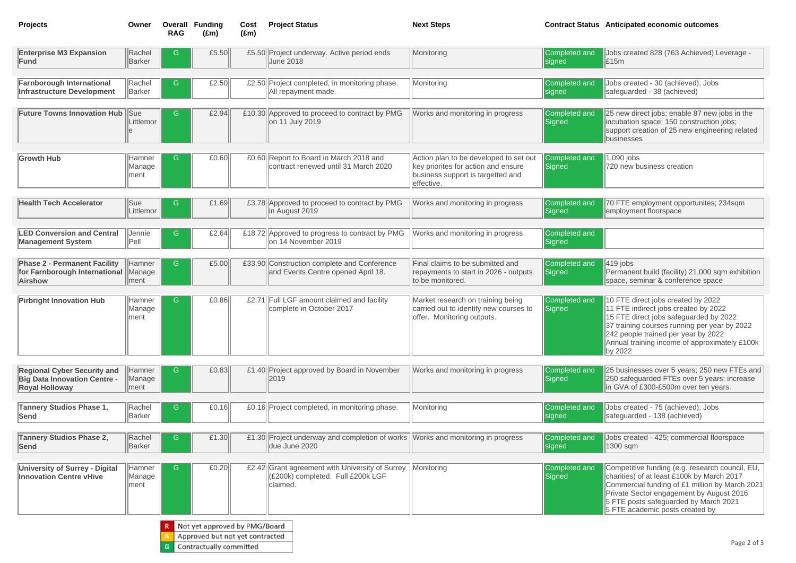Jobs created 828 (763 Achieved) Leverage -  $\vert$ £15m

Jobs created - 30 (achieved); Jobs safeguarded - 38 (achieved)

25 new direct jobs; enable 87 new jobs in the lincubation space; 150 construction jobs; support creation of 25 new engineering related businesses

 $|419|$  jobs Permanent build (facility) 21,000 sqm exhibition space, seminar & conference space

10 FTE direct jobs created by 2022 11 FTE indirect jobs created by 2022 15 FTE direct jobs safeguarded by 2022 37 training courses running per year by 2022 242 people trained per year by 2022 Annual training income of approximately £100k  $\parallel$ by 2022

1,090 jobs 720 new business creation

25 businesses over 5 years; 250 new FTEs and 250 safeguarded FTEs over 5 years; increase In GVA of £300-£500m over ten years.

70 FTE employment opportunites; 234sqm employment floorspace

| <b>Projects</b>                                                                                    | Owner                     | Overall<br><b>RAG</b> | <b>Funding</b><br>$(\text{Em})$                                  | Cost<br>$(\text{Em})$ | <b>Project Status</b>                                                                                    | <b>Next Steps</b>                                                                                                                | <b>Contract Status</b>         |
|----------------------------------------------------------------------------------------------------|---------------------------|-----------------------|------------------------------------------------------------------|-----------------------|----------------------------------------------------------------------------------------------------------|----------------------------------------------------------------------------------------------------------------------------------|--------------------------------|
| <b>Enterprise M3 Expansion</b><br>Fund                                                             | Rachel<br><b>Barker</b>   | G                     | £5.50                                                            |                       | £5.50 Project underway. Active period ends<br><b>June 2018</b>                                           | Monitoring                                                                                                                       | Completed and<br>signed        |
| <b>Farnborough International</b><br><b>Infrastructure Development</b>                              | Rachel<br>Barker          | G                     | £2.50                                                            |                       | £2.50 Project completed, in monitoring phase.<br>All repayment made.                                     | Monitoring                                                                                                                       | Completed and<br><b>Signed</b> |
| <b>Future Towns Innovation Hub</b>                                                                 | Sue<br>Littlemor<br>le    | G                     | £2.94                                                            |                       | £10.30 Approved to proceed to contract by PMG<br>on 11 July 2019                                         | Works and monitoring in progress                                                                                                 | Completed and<br>Signed        |
| <b>Growth Hub</b>                                                                                  | Hamner<br>Manage<br>lment | G                     | £0.60                                                            |                       | £0.60 Report to Board in March 2018 and<br>contract renewed until 31 March 2020                          | Action plan to be developed to set out<br>key priorites for action and ensure<br>business support is targetted and<br>effective. | Completed and<br>Signed        |
| <b>Health Tech Accelerator</b>                                                                     | Sue<br>Littlemor          | G                     | £1.69                                                            |                       | £3.78 Approved to proceed to contract by PMG<br>lin August 2019                                          | Works and monitoring in progress                                                                                                 | Completed and<br><b>Signed</b> |
| <b>LED Conversion and Central</b><br><b>Management System</b>                                      | Jennie<br>$ P$ ell        | G                     | £2.64                                                            |                       | £18.72 Approved to progress to contract by PMG<br>on 14 November 2019                                    | Works and monitoring in progress                                                                                                 | Completed and<br>Signed        |
| <b>Phase 2 - Permanent Facility</b><br>for Farnborough International<br><b>Airshow</b>             | Hamner<br>Manage<br>ment  | G                     | £5.00                                                            |                       | £33.90 Construction complete and Conference<br>and Events Centre opened April 18.                        | Final claims to be submitted and<br>repayments to start in 2026 - outputs<br>to be monitored.                                    | Completed and<br>Signed        |
| <b>Pirbright Innovation Hub</b>                                                                    | Hamner<br>Manage<br>ment  | G                     | £0.86                                                            |                       | £2.71 Full LGF amount claimed and facility<br>complete in October 2017                                   | Market research on training being<br>carried out to identify new courses to<br>offer. Monitoring outputs.                        | Completed and<br>Signed        |
| <b>Regional Cyber Security and</b><br><b>Big Data Innovation Centre -</b><br><b>Royal Holloway</b> | Hamner<br>Manage<br>ment  | G                     | £0.83                                                            |                       | £1.40 Project approved by Board in November<br>2019                                                      | Works and monitoring in progress                                                                                                 | Completed and<br>Signed        |
| <b>Tannery Studios Phase 1,</b><br>Send                                                            | Rachel<br>Barker          | G                     | £0.16                                                            |                       | £0.16 Project completed, in monitoring phase.                                                            | Monitoring                                                                                                                       | Completed and<br><b>Signed</b> |
| <b>Tannery Studios Phase 2,</b><br>Send                                                            | Rachel<br>Barker          | G                     | £1.30                                                            |                       | £1.30 Project underway and completion of works $\vert$ Works and monitoring in progress<br>due June 2020 |                                                                                                                                  | Completed and<br>signed        |
| <b>University of Surrey - Digital</b><br><b>Innovation Centre vHive</b>                            | Hamner<br>Manage<br> ment | G                     | £0.20                                                            | £2.42                 | Grant agreement with University of Surrey<br>(£200k) completed. Full £200k LGF<br>claimed.               | Monitoring                                                                                                                       | Completed and<br>Signed        |
|                                                                                                    |                           |                       | Not yet approved by PMG/Board<br>Approved but not yet contracted |                       |                                                                                                          |                                                                                                                                  |                                |

Competitive funding (e.g. research council, EU, charities) of at least £100k by March 2017 Commercial funding of £1 million by March 2021 Private Sector engagement by August 2016 5 FTE posts safeguarded by March 2021 5 FTE academic posts created by

G Contractually committed

# **Anticipated economic outcomes**

Jobs created - 75 (achieved); Jobs safeguarded - 138 (achieved)

Jobs created - 425; commercial floorspace 1300 sqm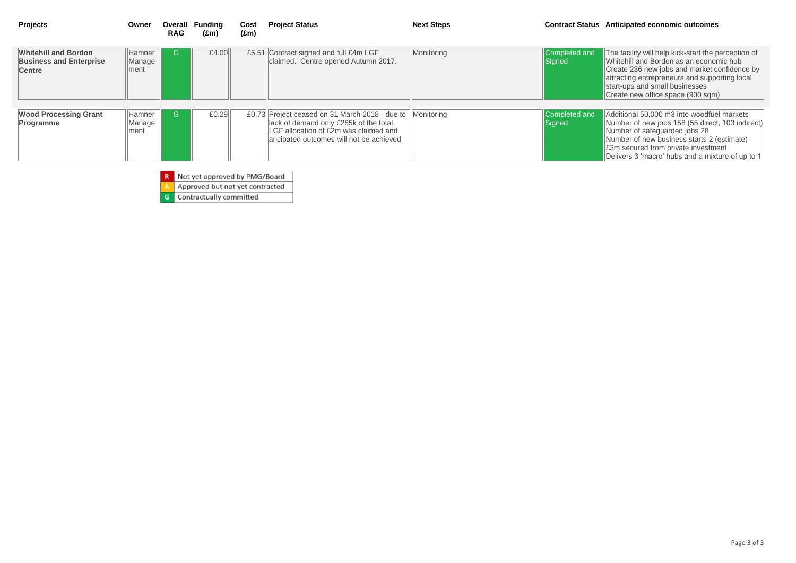| <b>Projects</b>                                                                | Owner                     | Overall<br><b>RAG</b> | <b>Funding</b><br>$(\text{Em})$ | Cost<br>$(\text{Em})$ | <b>Project Status</b>                                                                                                                                                                   | <b>Next Steps</b> | <b>Contract Status</b>  |
|--------------------------------------------------------------------------------|---------------------------|-----------------------|---------------------------------|-----------------------|-----------------------------------------------------------------------------------------------------------------------------------------------------------------------------------------|-------------------|-------------------------|
| <b>Whitehill and Bordon</b><br><b>Business and Enterprise</b><br><b>Centre</b> | Hamner<br>Manage<br>lment | G                     | £4.00                           |                       | £5.51 Contract signed and full £4m LGF<br>claimed. Centre opened Autumn 2017.                                                                                                           | Monitoring        | Completed and<br>Signed |
| <b>Wood Processing Grant</b><br>Programme                                      | Hamner<br>Manage<br> ment | G                     | E0.29                           |                       | £0.73 Project ceased on 31 March 2018 - due to Monitoring<br>lack of demand only £285k of the total<br>LGF allocation of £2m was claimed and<br>ancipated outcomes will not be achieved |                   | Completed and<br>Signed |

Additional 50,000 m3 into woodfuel markets Number of new jobs 158 (55 direct, 103 indirect) Number of safeguarded jobs 28 Number of new business starts 2 (estimate) £3m secured from private investment Delivers 3 'macro' hubs and a mixture of up to 1

Not yet approved by PMG/Board  $R$ 

Approved but not yet contracted  $\Delta$ 

 $\overline{G}$ Contractually committed

# **Anticipated economic outcomes**

The facility will help kick-start the perception of Whitehill and Bordon as an economic hub Create 236 new jobs and market confidence by attracting entrepreneurs and supporting local start-ups and small businesses Create new office space (900 sqm)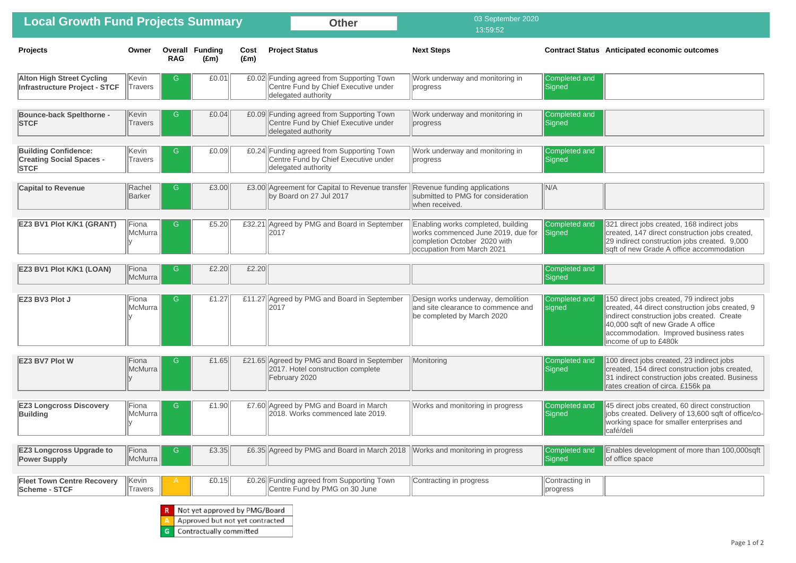| <b>Local Growth Fund Projects Summary</b>                                     |                         |            |                                         |                       | <b>Other</b>                                                                                             | 03 September 2020<br>13:59:52                                                                                                          |                                |
|-------------------------------------------------------------------------------|-------------------------|------------|-----------------------------------------|-----------------------|----------------------------------------------------------------------------------------------------------|----------------------------------------------------------------------------------------------------------------------------------------|--------------------------------|
| <b>Projects</b>                                                               | Owner                   | <b>RAG</b> | <b>Overall Funding</b><br>$(\text{Em})$ | Cost<br>$(\text{Em})$ | <b>Project Status</b>                                                                                    | <b>Next Steps</b>                                                                                                                      | <b>Contract Status</b>         |
| <b>Alton High Street Cycling</b><br>Infrastructure Project - STCF             | Kevin<br><b>Travers</b> | G          | £0.01                                   |                       | £0.02 Funding agreed from Supporting Town<br>Centre Fund by Chief Executive under<br>delegated authority | Work underway and monitoring in<br>progress                                                                                            | Completed and<br>Signed        |
| <b>Bounce-back Spelthorne -</b><br><b>STCF</b>                                | Kevin<br><b>Travers</b> | G          | E0.04                                   |                       | £0.09 Funding agreed from Supporting Town<br>Centre Fund by Chief Executive under<br>delegated authority | Work underway and monitoring in<br>progress                                                                                            | Completed and<br>Signed        |
| <b>Building Confidence:</b><br><b>Creating Social Spaces -</b><br><b>STCF</b> | Kevin<br><b>Travers</b> | G          | £0.09                                   |                       | £0.24 Funding agreed from Supporting Town<br>Centre Fund by Chief Executive under<br>delegated authority | Work underway and monitoring in<br>progress                                                                                            | Completed and<br>Signed        |
| <b>Capital to Revenue</b>                                                     | Rachel<br><b>Barker</b> | G          | £3.00                                   |                       | £3.00 Agreement for Capital to Revenue transfer<br>by Board on 27 Jul 2017                               | Revenue funding applications<br>submitted to PMG for consideration<br>when received.                                                   | N/A                            |
| <b>EZ3 BV1 Plot K/K1 (GRANT)</b>                                              | Fiona<br>McMurra        | G          | £5.20                                   |                       | £32.21 Agreed by PMG and Board in September<br>2017                                                      | Enabling works completed, building<br>works commenced June 2019, due for<br>completion October 2020 with<br>occupation from March 2021 | Completed and<br>Signed        |
| <b>EZ3 BV1 Plot K/K1 (LOAN)</b>                                               | Fiona<br>McMurra        | G          | £2.20                                   | £2.20                 |                                                                                                          |                                                                                                                                        | Completed and<br>Signed        |
| EZ3 BV3 Plot J                                                                | Fiona<br>McMurra        | G          | £1.27                                   |                       | £11.27 Agreed by PMG and Board in September<br>2017                                                      | Design works underway, demolition<br>and site clearance to commence and<br>be completed by March 2020                                  | Completed and<br><b>Signed</b> |
| <b>EZ3 BV7 Plot W</b>                                                         | Fiona<br>McMurra        | G          | £1.65                                   |                       | £21.65 Agreed by PMG and Board in September<br>2017. Hotel construction complete<br>February 2020        | Monitoring                                                                                                                             | Completed and<br>Signed        |
| <b>EZ3 Longcross Discovery</b><br><b>Building</b>                             | Fiona<br>McMurra        | G          | £1.90                                   |                       | £7.60 Agreed by PMG and Board in March<br>2018. Works commenced late 2019.                               | Works and monitoring in progress                                                                                                       | Completed and<br>Signed        |
| <b>EZ3 Longcross Upgrade to</b><br><b>Power Supply</b>                        | Fiona<br>McMurra        | G          | £3.35                                   |                       | £6.35 Agreed by PMG and Board in March 2018                                                              | Works and monitoring in progress                                                                                                       | Completed and<br>Signed        |
| <b>Fleet Town Centre Recovery</b><br><b>Scheme - STCF</b>                     | Kevin<br>Travers        | A          | £0.15                                   |                       | £0.26 Funding agreed from Supporting Town<br>Centre Fund by PMG on 30 June                               | Contracting in progress                                                                                                                | Contracting in<br>progress     |
|                                                                               |                         |            | Not yet approved by PMG/Board           |                       |                                                                                                          |                                                                                                                                        |                                |

Approved but not yet contracted A

G Contractually committed

# **Anticipated economic outcomes**

| 321 direct jobs created, 168 indirect jobs<br>created, 147 direct construction jobs created,<br>29 indirect construction jobs created. 9,000<br>sqft of new Grade A office accommodation                                                           |
|----------------------------------------------------------------------------------------------------------------------------------------------------------------------------------------------------------------------------------------------------|
|                                                                                                                                                                                                                                                    |
| 150 direct jobs created, 79 indirect jobs<br>created, 44 direct construction jobs created, 9<br>indirect construction jobs created. Create<br>40,000 sqft of new Grade A office<br>accommodation. Improved business rates<br>income of up to £480k |
| 100 direct jobs created, 23 indirect jobs<br>created, 154 direct construction jobs created,<br>31 indirect construction jobs created. Business<br>rates creation of circa. £156k pa                                                                |
| 45 direct jobs created, 60 direct construction<br>jobs created. Delivery of 13,600 sqft of office/co-<br>working space for smaller enterprises and<br>café/deli                                                                                    |
| Enables development of more than 100,000sqft<br>of office space                                                                                                                                                                                    |
|                                                                                                                                                                                                                                                    |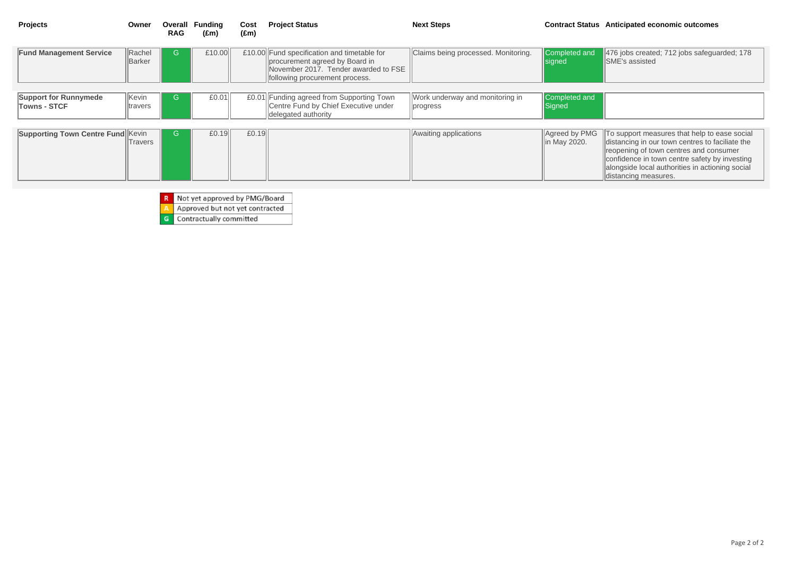| <b>Projects</b>                                     | Owner                   | <b>Overall</b><br><b>RAG</b> | <b>Funding</b><br>$(\text{Em})$ | Cost<br>$(\text{Em})$ | <b>Project Status</b>                                                                                                                                   | <b>Next Steps</b>                           | <b>Contract Status</b>         |
|-----------------------------------------------------|-------------------------|------------------------------|---------------------------------|-----------------------|---------------------------------------------------------------------------------------------------------------------------------------------------------|---------------------------------------------|--------------------------------|
| <b>Fund Management Service</b>                      | Rachel<br>Barker        | G                            | £10.00                          |                       | £10.00 Fund specification and timetable for<br>procurement agreed by Board in<br>November 2017. Tender awarded to FSE<br>following procurement process. | Claims being processed. Monitoring.         | Completed and<br><b>Signed</b> |
| <b>Support for Runnymede</b><br><b>Towns - STCF</b> | Kevin<br><b>travers</b> | G                            | £0.01                           |                       | £0.01 Funding agreed from Supporting Town<br>Centre Fund by Chief Executive under<br>delegated authority                                                | Work underway and monitoring in<br>progress | Completed and<br>Signed        |
| <b>Supporting Town Centre Fund Kevin</b>            | Travers                 | G                            | £0.19                           | £0.19                 |                                                                                                                                                         | Awaiting applications                       | Agreed by PMG<br>In May 2020.  |

- **R** Not yet approved by PMG/Board<br>**A** Approved but not yet contracted
- Approved but not yet contracted

**G** Contractually committed

# **Anticipated economic outcomes**

476 jobs created; 712 jobs safeguarded; 178 SME's assisted

To support measures that help to ease social distancing in our town centres to faciliate the reopening of town centres and consumer confidence in town centre safety by investing alongside local authorities in actioning social distancing measures.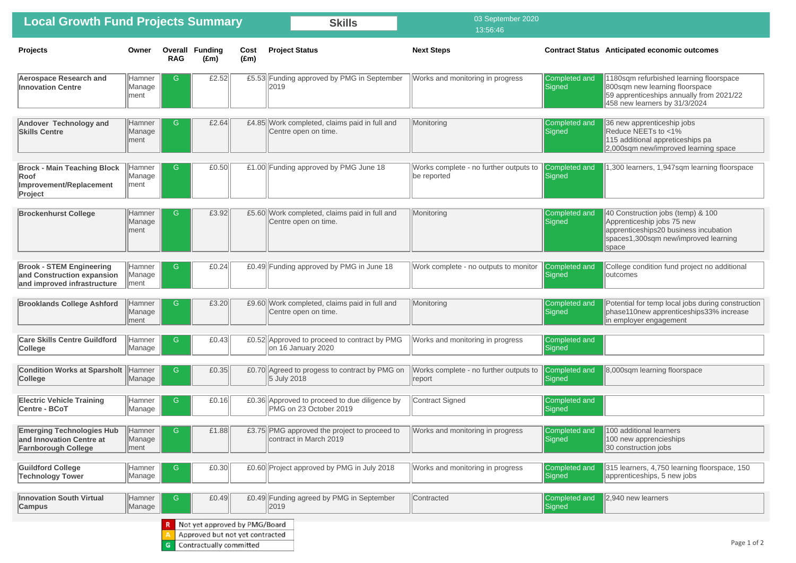36 new apprenticeship jobs Reduce NEETs to <1% 115 additional appreticeships pa 2,000sqm new/improved learning space

1,300 learners, 1,947sqm learning floorspace

1180sqm refurbished learning floorspace 800sqm new learning floorspace 59 apprenticeships annually from 2021/22 458 new learners by 31/3/2024

College condition fund project no additional loutcomes

Potential for temp local jobs during construction phase 110new apprenticeships 33% increase lin employer engagement

8,000sqm learning floorspace

100 additional learners 100 new apprencieships 30 construction jobs

40 Construction jobs (temp) & 100 Apprenticeship jobs 75 new apprenticeships 20 business incubation spaces 1,300sqm new/improved learning space

| <b>Local Growth Fund Projects Summary</b>                                                    |                                  |                       |                                                                                             |                       | <b>Skills</b>                                                           | 03 September 2020<br>13:56:46                         |                                |
|----------------------------------------------------------------------------------------------|----------------------------------|-----------------------|---------------------------------------------------------------------------------------------|-----------------------|-------------------------------------------------------------------------|-------------------------------------------------------|--------------------------------|
| <b>Projects</b>                                                                              | Owner                            | Overall<br><b>RAG</b> | <b>Funding</b><br>$(\text{Em})$                                                             | Cost<br>$(\text{Em})$ | <b>Project Status</b>                                                   | <b>Next Steps</b>                                     | <b>Contract Status</b>         |
| <b>Aerospace Research and</b><br><b>Innovation Centre</b>                                    | Hamner<br>Manage<br>∣ment        | G                     | £2.52                                                                                       |                       | £5.53 Funding approved by PMG in September<br>2019                      | Works and monitoring in progress                      | Completed and<br>Signed        |
| <b>Andover Technology and</b><br><b>Skills Centre</b>                                        | <b>Hamner</b><br>Manage<br>∣ment | G                     | £2.64                                                                                       |                       | £4.85 Work completed, claims paid in full and<br>Centre open on time.   | Monitoring                                            | Completed and<br>Signed        |
| <b>Brock - Main Teaching Block</b><br>Roof<br>Improvement/Replacement<br>Project             | Hamner<br>Manage<br> ment        | G                     | £0.50                                                                                       |                       | £1.00 Funding approved by PMG June 18                                   | Works complete - no further outputs to<br>be reported | Completed and<br>Signed        |
| <b>Brockenhurst College</b>                                                                  | <b>Hamner</b><br>Manage<br>∣ment | G                     | £3.92                                                                                       |                       | £5.60 Work completed, claims paid in full and<br>Centre open on time.   | Monitoring                                            | Completed and<br>Signed        |
| <b>Brook - STEM Engineering</b><br>and Construction expansion<br>and improved infrastructure | Hamner<br>Manage<br>ment         | G                     | E0.24                                                                                       |                       | £0.49 Funding approved by PMG in June 18                                | Work complete - no outputs to monitor                 | Completed and<br>Signed        |
| <b>Brooklands College Ashford</b>                                                            | Hamner<br>Manage<br>ment         | G                     | £3.20                                                                                       |                       | £9.60 Work completed, claims paid in full and<br>Centre open on time.   | Monitoring                                            | Completed and<br>Signed        |
| <b>Care Skills Centre Guildford</b><br><b>College</b>                                        | Hamner<br>Manage                 | G                     | E0.43                                                                                       |                       | £0.52 Approved to proceed to contract by PMG<br>on 16 January 2020      | Works and monitoring in progress                      | Completed and<br>Signed        |
| <b>Condition Works at Sparsholt</b><br><b>College</b>                                        | <b>Hamner</b><br>Manage          | G                     | E0.35                                                                                       |                       | £0.70 Agreed to progess to contract by PMG on<br>5 July 2018            | Works complete - no further outputs to<br>report      | <b>Completed and</b><br>Signed |
| <b>Electric Vehicle Training</b><br>Centre - BCoT                                            | Hamner<br>Manage                 | G                     | £0.16                                                                                       |                       | £0.36 Approved to proceed to due diligence by<br>PMG on 23 October 2019 | Contract Signed                                       | Completed and<br>Signed        |
| <b>Emerging Technologies Hub</b><br>and Innovation Centre at<br><b>Farnborough College</b>   | <b>Hamner</b><br>Manage<br> ment | G                     | £1.88                                                                                       |                       | £3.75 PMG approved the project to proceed to<br>contract in March 2019  | Works and monitoring in progress                      | Completed and<br>Signed        |
| <b>Guildford College</b><br><b>Technology Tower</b>                                          | Hamner<br>Manage                 | G                     | £0.30                                                                                       |                       | £0.60 Project approved by PMG in July 2018                              | Works and monitoring in progress                      | Completed and<br>Signed        |
| <b>Innovation South Virtual</b><br><b>Campus</b>                                             | <b>Hamner</b><br>Manage          | G                     | £0.49                                                                                       |                       | £0.49 Funding agreed by PMG in September<br>2019                        | Contracted                                            | Completed and<br>Signed        |
|                                                                                              |                                  | G                     | Not yet approved by PMG/Board<br>Approved but not yet contracted<br>Contractually committed |                       |                                                                         |                                                       |                                |

### **Anticipated economic outcomes**

315 learners, 4,750 learning floorspace, 150 apprenticeships, 5 new jobs

2,940 new learners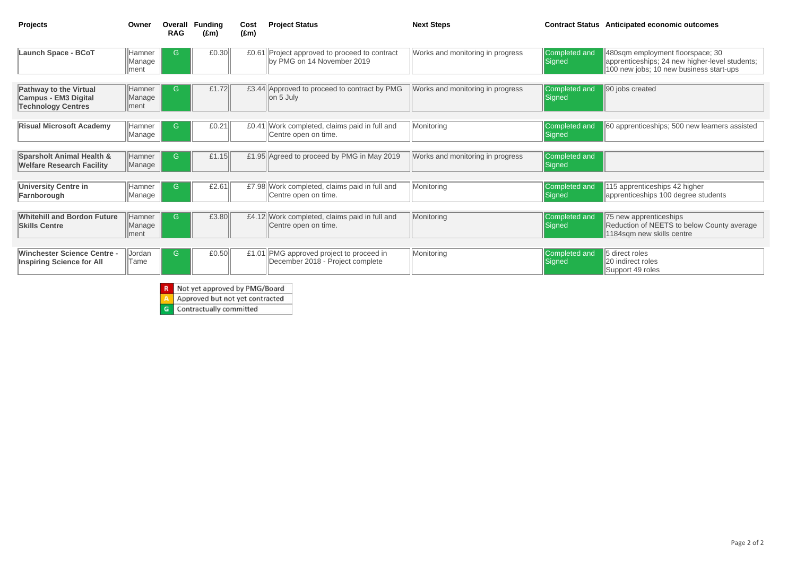480sqm employment floorspace; 30 apprenticeships; 24 new higher-level students; 100 new jobs; 10 new business start-ups

90 jobs created

75 new apprenticeships Reduction of NEETS to below County average 1184sqm new skills centre

5 direct roles 20 indirect roles Support 49 roles

60 apprenticeships; 500 new learners assisted

| <b>Projects</b>                                                                           | Owner                           | Overall<br><b>RAG</b> | <b>Funding</b><br>$(\text{Em})$ | Cost<br>$(\text{Em})$ | <b>Project Status</b>                                                       | <b>Next Steps</b>                | <b>Contract Status</b>         |
|-------------------------------------------------------------------------------------------|---------------------------------|-----------------------|---------------------------------|-----------------------|-----------------------------------------------------------------------------|----------------------------------|--------------------------------|
| <b>Launch Space - BCoT</b>                                                                | <b>Hamner</b><br>Manage<br>ment | G                     | £0.30                           |                       | £0.61 Project approved to proceed to contract<br>by PMG on 14 November 2019 | Works and monitoring in progress | Completed and<br>Signed        |
| <b>Pathway to the Virtual</b><br><b>Campus - EM3 Digital</b><br><b>Technology Centres</b> | <b>Hamner</b><br>Manage<br>ment | G                     | £1.72                           |                       | £3.44 Approved to proceed to contract by PMG<br>on 5 July                   | Works and monitoring in progress | Completed and<br>Signed        |
| <b>Risual Microsoft Academy</b>                                                           | Hamner<br>Manage                | G                     | £0.21                           |                       | £0.41 Work completed, claims paid in full and<br>Centre open on time.       | Monitoring                       | Completed and<br>Signed        |
| <b>Sparsholt Animal Health &amp;</b><br><b>Welfare Research Facility</b>                  | <b>Hamner</b><br>Manage         | G                     | £1.15                           |                       | £1.95 Agreed to proceed by PMG in May 2019                                  | Works and monitoring in progress | Completed and<br>Signed        |
| <b>University Centre in</b><br>Farnborough                                                | Hamner<br>Manage                | G                     | £2.61                           |                       | £7.98 Work completed, claims paid in full and<br>Centre open on time.       | Monitoring                       | Completed and<br>Signed        |
| <b>Whitehill and Bordon Future</b><br><b>Skills Centre</b>                                | <b>Hamner</b><br>Manage<br>ment | G.                    | £3.80                           |                       | £4.12 Work completed, claims paid in full and<br>Centre open on time.       | Monitoring                       | Completed and<br><b>Signed</b> |
| <b>Winchester Science Centre -</b><br><b>Inspiring Science for All</b>                    | Jordan<br>Tame                  | G                     | £0.50                           | £1.01                 | PMG approved project to proceed in<br>December 2018 - Project complete      | Monitoring                       | Completed and<br>Signed        |
|                                                                                           |                                 |                       | Not yet approved by PMG/Board   |                       |                                                                             |                                  |                                |

A Approved but not yet contracted

**G** Contractually committed

# **Anticipated economic outcomes**

115 apprenticeships 42 higher apprenticeships 100 degree students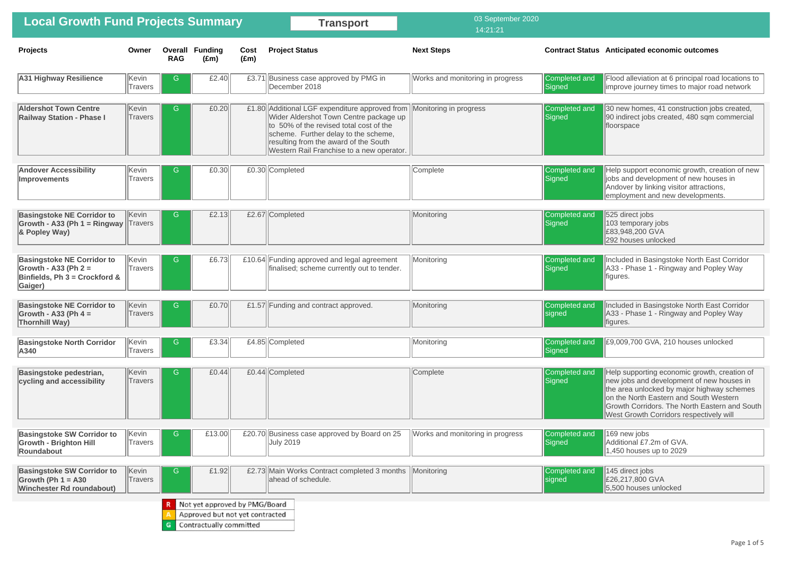Flood alleviation at 6 principal road locations to improve journey times to major road network

30 new homes, 41 construction jobs created, 90 indirect jobs created, 480 sqm commercial floorspace

Help support economic growth, creation of new liobs and development of new houses in Andover by linking visitor attractions, employment and new developments.

525 direct jobs 103 temporary jobs £83,948,200 GVA 292 houses unlocked

Included in Basingstoke North East Corridor A33 - Phase 1 - Ringway and Popley Way figures.

Included in Basingstoke North East Corridor A33 - Phase 1 - Ringway and Popley Way figures.

 $\sqrt{169}$  new jobs Additional £7.2m of GVA. 1,450 houses up to 2029

| <b>Local Growth Fund Projects Summary</b>                                                               |                         |                       |                                                                                             |                       | <b>Transport</b>                                                                                                                                                                                                                                                  | 03 September 2020<br>14:21:21    |                         |
|---------------------------------------------------------------------------------------------------------|-------------------------|-----------------------|---------------------------------------------------------------------------------------------|-----------------------|-------------------------------------------------------------------------------------------------------------------------------------------------------------------------------------------------------------------------------------------------------------------|----------------------------------|-------------------------|
| <b>Projects</b>                                                                                         | Owner                   | Overall<br><b>RAG</b> | <b>Funding</b><br>$(\text{Em})$                                                             | Cost<br>$(\text{Em})$ | <b>Project Status</b>                                                                                                                                                                                                                                             | <b>Next Steps</b>                | <b>Contract Status</b>  |
| <b>A31 Highway Resilience</b>                                                                           | Kevin<br>Travers        | G                     | £2.40                                                                                       |                       | £3.71 Business case approved by PMG in<br>December 2018                                                                                                                                                                                                           | Works and monitoring in progress | Completed and<br>Signed |
| <b>Aldershot Town Centre</b><br><b>Railway Station - Phase I</b>                                        | Kevin<br><b>Travers</b> | G                     | E0.20                                                                                       |                       | £1.80 Additional LGF expenditure approved from<br>Wider Aldershot Town Centre package up<br>to 50% of the revised total cost of the<br>scheme. Further delay to the scheme,<br>resulting from the award of the South<br>Western Rail Franchise to a new operator. | Monitoring in progress           | Completed and<br>Signed |
| <b>Andover Accessibility</b><br><b>Improvements</b>                                                     | Kevin<br><b>Travers</b> | G                     | E0.30                                                                                       |                       | £0.30 Completed                                                                                                                                                                                                                                                   | Complete                         | Completed and<br>Signed |
| <b>Basingstoke NE Corridor to</b><br>Growth - A33 (Ph 1 = Ringway)<br>& Popley Way)                     | Kevin<br>Travers        | G                     | £2.13                                                                                       |                       | £2.67 Completed                                                                                                                                                                                                                                                   | Monitoring                       | Completed and<br>Signed |
| <b>Basingstoke NE Corridor to</b><br>Growth - A33 (Ph $2 =$<br>Binfields, Ph 3 = Crockford &<br>Gaiger) | Kevin<br><b>Travers</b> | G                     | £6.73                                                                                       |                       | £10.64 Funding approved and legal agreement<br>finalised; scheme currently out to tender.                                                                                                                                                                         | Monitoring                       | Completed and<br>Signed |
| <b>Basingstoke NE Corridor to</b><br>Growth - A33 (Ph $4 =$<br><b>Thornhill Way)</b>                    | Kevin<br>Travers        | G                     | E0.70                                                                                       |                       | £1.57 Funding and contract approved.                                                                                                                                                                                                                              | Monitoring                       | Completed and<br>signed |
| <b>Basingstoke North Corridor</b><br>A340                                                               | Kevin<br>Travers        | G                     | £3.34                                                                                       |                       | £4.85 Completed                                                                                                                                                                                                                                                   | Monitoring                       | Completed and<br>Signed |
| <b>Basingstoke pedestrian,</b><br>cycling and accessibility                                             | Kevin<br>Travers        | G                     | E0.44                                                                                       |                       | £0.44 Completed                                                                                                                                                                                                                                                   | Complete                         | Completed and<br>Signed |
| <b>Basingstoke SW Corridor to</b><br><b>Growth - Brighton Hill</b><br>Roundabout                        | Kevin<br><b>Travers</b> | G                     | £13.00                                                                                      |                       | £20.70 Business case approved by Board on 25<br><b>July 2019</b>                                                                                                                                                                                                  | Works and monitoring in progress | Completed and<br>Signed |
| <b>Basingstoke SW Corridor to</b><br>Growth (Ph $1 = A30$<br><b>Winchester Rd roundabout)</b>           | Kevin<br>Travers        | G                     | £1.92                                                                                       |                       | £2.73 Main Works Contract completed 3 months<br>ahead of schedule.                                                                                                                                                                                                | Monitoring                       | Completed and<br>signed |
|                                                                                                         |                         | G                     | Not yet approved by PMG/Board<br>Approved but not yet contracted<br>Contractually committed |                       |                                                                                                                                                                                                                                                                   |                                  |                         |

#### **Anticipated economic outcomes**

145 direct jobs £26,217,800 GVA 5,500 houses unlocked

£9,009,700 GVA, 210 houses unlocked

Help supporting economic growth, creation of new jobs and development of new houses in the area unlocked by major highway schemes on the North Eastern and South Western Growth Corridors. The North Eastern and South West Growth Corridors respectively will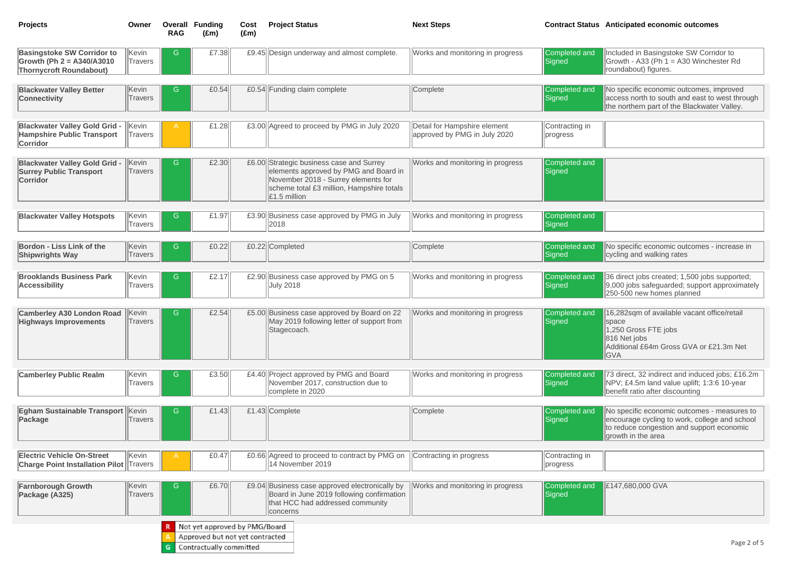Included in Basingstoke SW Corridor to  $|G$ rowth - A33 (Ph 1 = A30 Winchester Rd roundabout) figures.

No specific economic outcomes, improved access north to south and east to west through  $\blacksquare$  the northern part of the Blackwater Valley.

No specific economic outcomes - increase in cycling and walking rates

16,282sqm of available vacant office/retail space  $1,250$  Gross FTE jobs 816 Net jobs Additional £64m Gross GVA or £21.3m Net GVA

No specific economic outcomes - measures to encourage cycling to work, college and school  $\left\Vert$  to reduce congestion and support economic growth in the area

| <b>Projects</b>                                                                                    | Owner                   | <b>RAG</b> | <b>Overall Funding</b><br>$(\text{Em})$ | Cost<br>$(\text{Em})$ | <b>Project Status</b>                                                                                                                                                                            | <b>Next Steps</b>                                            | <b>Contract Status</b>     |
|----------------------------------------------------------------------------------------------------|-------------------------|------------|-----------------------------------------|-----------------------|--------------------------------------------------------------------------------------------------------------------------------------------------------------------------------------------------|--------------------------------------------------------------|----------------------------|
| <b>Basingstoke SW Corridor to</b><br>Growth (Ph $2 = A340/A3010$<br><b>Thornycroft Roundabout)</b> | Kevin<br>Travers        | G          | £7.38                                   |                       | £9.45 Design underway and almost complete.                                                                                                                                                       | Works and monitoring in progress                             | Completed and<br>Signed    |
| <b>Blackwater Valley Better</b><br><b>Connectivity</b>                                             | Kevin<br>Travers        | G          | E0.54                                   |                       | £0.54 Funding claim complete                                                                                                                                                                     | Complete                                                     | Completed and<br>Signed    |
| <b>Blackwater Valley Gold Grid -</b><br><b>Hampshire Public Transport</b><br><b>Corridor</b>       | Kevin<br><b>Travers</b> | A          | £1.28                                   |                       | £3.00 Agreed to proceed by PMG in July 2020                                                                                                                                                      | Detail for Hampshire element<br>approved by PMG in July 2020 | Contracting in<br>progress |
| <b>Blackwater Valley Gold Grid -</b><br><b>Surrey Public Transport</b><br>Corridor                 | Kevin<br><b>Travers</b> | G          | £2.30                                   |                       | £6.00 Strategic business case and Surrey<br>elements approved by PMG and Board in<br>November 2018 - Surrey elements for<br>scheme total £3 million, Hampshire totals<br>$\mathsf{E}1.5$ million | Works and monitoring in progress                             | Completed and<br>Signed    |
| <b>Blackwater Valley Hotspots</b>                                                                  | Kevin<br><b>Travers</b> | G          | £1.97                                   |                       | £3.90 Business case approved by PMG in July<br>2018                                                                                                                                              | Works and monitoring in progress                             | Completed and<br>Signed    |
| <b>Bordon - Liss Link of the</b><br><b>Shipwrights Way</b>                                         | Kevin<br><b>Travers</b> | G          | £0.22                                   |                       | £0.22 Completed                                                                                                                                                                                  | Complete                                                     | Completed and<br>Signed    |
| <b>Brooklands Business Park</b><br><b>Accessibility</b>                                            | Kevin<br>Travers        | G          | £2.17                                   |                       | £2.90 Business case approved by PMG on 5<br><b>July 2018</b>                                                                                                                                     | Works and monitoring in progress                             | Completed and<br>Signed    |
| <b>Camberley A30 London Road Kevin</b><br><b>Highways Improvements</b>                             | <b>Travers</b>          | G.         | £2.54                                   |                       | £5.00 Business case approved by Board on 22<br>May 2019 following letter of support from<br>Stagecoach.                                                                                          | Works and monitoring in progress                             | Completed and<br>Signed    |
| <b>Camberley Public Realm</b>                                                                      | Kevin<br>Travers        | G          | £3.50                                   |                       | £4.40 Project approved by PMG and Board<br>November 2017, construction due to<br>complete in 2020                                                                                                | Works and monitoring in progress                             | Completed and<br>Signed    |
| Egham Sustainable Transport<br>Package                                                             | Kevin<br><b>Travers</b> | G          | £1.43                                   |                       | £1.43 Complete                                                                                                                                                                                   | Complete                                                     | Completed and<br>Signed    |
| <b>Electric Vehicle On-Street</b><br><b>Charge Point Installation Pilot  Travers</b>               | Kevin                   | A          | £0.47                                   |                       | £0.66 Agreed to proceed to contract by PMG on<br>14 November 2019                                                                                                                                | Contracting in progress                                      | Contracting in<br>progress |
| <b>Farnborough Growth</b><br>Package (A325)                                                        | Kevin<br>Travers        | G          | £6.70                                   |                       | £9.04 Business case approved electronically by<br>Board in June 2019 following confirmation<br>that HCC had addressed community<br>concerns                                                      | Works and monitoring in progress                             | Completed and<br>Signed    |
|                                                                                                    |                         |            | Not yet approved by PMG/Board           |                       |                                                                                                                                                                                                  |                                                              |                            |
|                                                                                                    |                         |            | Approved but not yet contracted         |                       |                                                                                                                                                                                                  |                                                              |                            |
|                                                                                                    |                         |            | Contractually committed                 |                       |                                                                                                                                                                                                  |                                                              |                            |

# **Anticipated economic outcomes**

36 direct jobs created; 1,500 jobs supported; 9,000 jobs safeguarded; support approximately 250-500 new homes planned

73 direct, 32 indirect and induced jobs; £16.2m NPV; £4.5m land value uplift; 1:3:6 10-year benefit ratio after discounting

£147,680,000 GVA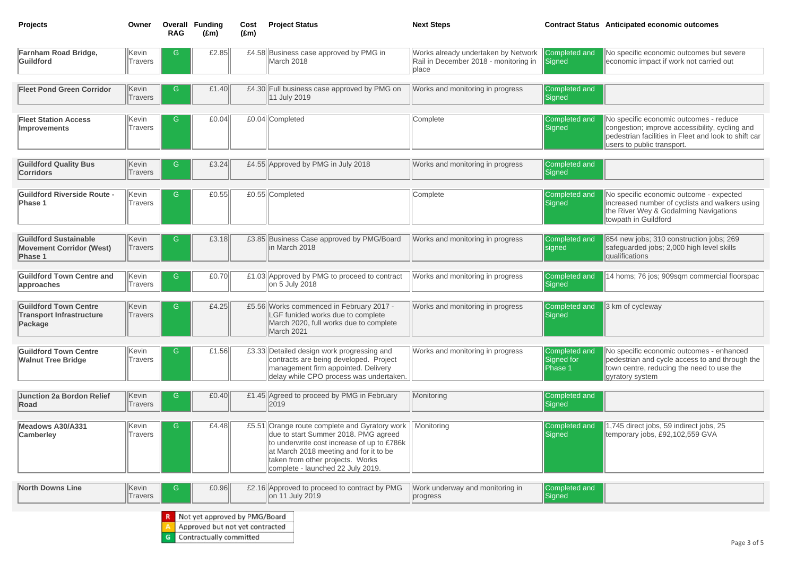No specific economic outcomes - reduce congestion; improve accessibility, cycling and pedestrian facilities in Fleet and look to shift car users to public transport.

No specific economic outcomes but severe economic impact if work not carried out

No specific economic outcome - expected increased number of cyclists and walkers using **the River Wey & Godalming Navigations** towpath in Guildford

854 new jobs; 310 construction jobs; 269 safeguarded jobs; 2,000 high level skills qualifications

14 homs; 76 jos; 909sqm commercial floorspac

3 km of cycleway

No specific economic outcomes - enhanced pedestrian and cycle access to and through the town centre, reducing the need to use the gyratory system

1,745 direct jobs, 59 indirect jobs, 25 temporary jobs, £92,102,559 GVA

| <b>Projects</b>                                                            | Owner                   | <b>RAG</b> | <b>Overall Funding</b><br>$(\text{Em})$                                                     | Cost<br>$(\text{Em})$ | <b>Project Status</b>                                                                                                                                                                                                                            | <b>Next Steps</b>                                                                     | <b>Contract Status</b>                 |
|----------------------------------------------------------------------------|-------------------------|------------|---------------------------------------------------------------------------------------------|-----------------------|--------------------------------------------------------------------------------------------------------------------------------------------------------------------------------------------------------------------------------------------------|---------------------------------------------------------------------------------------|----------------------------------------|
| <b>Farnham Road Bridge,</b><br>Guildford                                   | Kevin<br><b>Travers</b> | G          | £2.85                                                                                       |                       | £4.58 Business case approved by PMG in<br>March 2018                                                                                                                                                                                             | Works already undertaken by Network<br>Rail in December 2018 - monitoring in<br>place | Completed and<br>Signed                |
| <b>Fleet Pond Green Corridor</b>                                           | Kevin<br><b>Travers</b> | G          | £1.40                                                                                       |                       | £4.30 Full business case approved by PMG on<br>11 July 2019                                                                                                                                                                                      | Works and monitoring in progress                                                      | Completed and<br>Signed                |
| <b>Fleet Station Access</b><br><b>Improvements</b>                         | Kevin<br><b>Travers</b> | G          | E0.04                                                                                       |                       | £0.04 Completed                                                                                                                                                                                                                                  | Complete                                                                              | Completed and<br>Signed                |
| <b>Guildford Quality Bus</b><br><b>Corridors</b>                           | Kevin<br>Travers        | G          | £3.24                                                                                       |                       | £4.55 Approved by PMG in July 2018                                                                                                                                                                                                               | Works and monitoring in progress                                                      | Completed and<br>Signed                |
| <b>Guildford Riverside Route -</b><br>Phase 1                              | Kevin<br><b>Travers</b> | G          | £0.55                                                                                       |                       | £0.55 Completed                                                                                                                                                                                                                                  | Complete                                                                              | Completed and<br>Signed                |
| <b>Guildford Sustainable</b><br><b>Movement Corridor (West)</b><br>Phase 1 | Kevin<br><b>Travers</b> | G          | £3.18                                                                                       |                       | £3.85 Business Case approved by PMG/Board<br>in March 2018                                                                                                                                                                                       | Works and monitoring in progress                                                      | Completed and<br>signed                |
| <b>Guildford Town Centre and</b><br>approaches                             | Kevin<br>Travers        | G          | £0.70                                                                                       |                       | £1.03 Approved by PMG to proceed to contract<br>on 5 July 2018                                                                                                                                                                                   | Works and monitoring in progress                                                      | Completed and<br>Signed                |
| <b>Guildford Town Centre</b><br><b>Transport Infrastructure</b><br>Package | Kevin<br><b>Travers</b> | G          | £4.25                                                                                       |                       | £5.56 Works commenced in February 2017 -<br>LGF funided works due to complete<br>March 2020, full works due to complete<br>March 2021                                                                                                            | Works and monitoring in progress                                                      | Completed and<br>Signed                |
| <b>Guildford Town Centre</b><br><b>Walnut Tree Bridge</b>                  | Kevin<br><b>Travers</b> | G          | £1.56                                                                                       |                       | £3.33 Detailed design work progressing and<br>contracts are being developed. Project<br>management firm appointed. Delivery<br>delay while CPO process was undertaken.                                                                           | Works and monitoring in progress                                                      | Completed and<br>Signed for<br>Phase 1 |
| Junction 2a Bordon Relief<br>Road                                          | Kevin<br>Travers        | G          | £0.40                                                                                       |                       | £1.45 Agreed to proceed by PMG in February<br> 2019                                                                                                                                                                                              | Monitoring                                                                            | Completed and<br>Signed                |
| Meadows A30/A331<br><b>Camberley</b>                                       | Kevin<br>Travers        | G          | £4.48                                                                                       | £5.51                 | Orange route complete and Gyratory work<br>due to start Summer 2018. PMG agreed<br>to underwrite cost increase of up to £786k<br>at March 2018 meeting and for it to be<br>taken from other projects. Works<br>complete - launched 22 July 2019. | Monitoring                                                                            | Completed and<br>Signed                |
| <b>North Downs Line</b>                                                    | Kevin<br>Travers        | G          | £0.96                                                                                       |                       | £2.16 Approved to proceed to contract by PMG<br>on 11 July 2019                                                                                                                                                                                  | Work underway and monitoring in<br>progress                                           | Completed and<br>Signed                |
|                                                                            |                         | G          | Not yet approved by PMG/Board<br>Approved but not yet contracted<br>Contractually committed |                       |                                                                                                                                                                                                                                                  |                                                                                       |                                        |

# **Anticipated economic outcomes**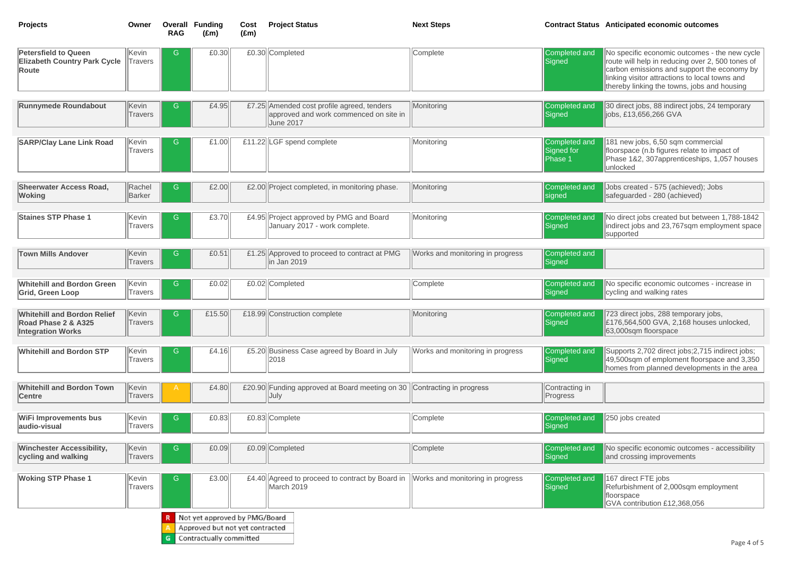30 direct jobs, 88 indirect jobs, 24 temporary  $\parallel$ jobs, £13,656,266 GVA

No specific economic outcomes - the new cycle route will help in reducing over 2, 500 tones of carbon emissions and support the economy by linking visitor attractions to local towns and thereby linking the towns, jobs and housing

181 new jobs, 6,50 sqm commercial floorspace (n.b figures relate to impact of Phase 1&2, 307apprenticeships, 1,057 houses |unlocked

No direct jobs created but between 1,788-1842 lindirect jobs and 23,767sqm employment space supported

Jobs created - 575 (achieved); Jobs safeguarded - 280 (achieved)

Supports 2,702 direct jobs; 2,715 indirect jobs; 49,500sqm of emploment floorspace and 3,350 homes from planned developments in the area

250 jobs created

No specific economic outcomes - accessibility and crossing improvements

| <b>Projects</b>                                                                       | Owner                   | Overall<br><b>RAG</b> | <b>Funding</b><br>$(\text{Em})$                                                             | Cost<br>$(\text{Em})$ | <b>Project Status</b>                                                                                    | <b>Next Steps</b>                | <b>Contract Status</b>                 |
|---------------------------------------------------------------------------------------|-------------------------|-----------------------|---------------------------------------------------------------------------------------------|-----------------------|----------------------------------------------------------------------------------------------------------|----------------------------------|----------------------------------------|
| <b>Petersfield to Queen</b><br><b>Elizabeth Country Park Cycle</b><br>Route           | Kevin<br><b>Travers</b> | G                     | £0.30                                                                                       |                       | £0.30 Completed                                                                                          | Complete                         | Completed and<br>Signed                |
|                                                                                       |                         |                       |                                                                                             |                       |                                                                                                          |                                  |                                        |
| <b>Runnymede Roundabout</b>                                                           | Kevin<br><b>Travers</b> | G                     | £4.95                                                                                       |                       | £7.25 Amended cost profile agreed, tenders<br>approved and work commenced on site in<br><b>June 2017</b> | Monitoring                       | Completed and<br>Signed                |
| <b>SARP/Clay Lane Link Road</b>                                                       | Kevin<br><b>Travers</b> | G                     | £1.00                                                                                       |                       | £11.22 LGF spend complete                                                                                | Monitoring                       | Completed and<br>Signed for<br>Phase 1 |
| <b>Sheerwater Access Road,</b><br><b>Woking</b>                                       | Rachel<br>Barker        | G                     | £2.00                                                                                       |                       | £2.00 Project completed, in monitoring phase.                                                            | Monitoring                       | <b>Completed and</b><br>signed         |
| <b>Staines STP Phase 1</b>                                                            | Kevin<br>Travers        | G                     | £3.70                                                                                       |                       | £4.95 Project approved by PMG and Board<br>January 2017 - work complete.                                 | Monitoring                       | Completed and<br>Signed                |
| <b>Town Mills Andover</b>                                                             | Kevin<br>Travers        | G                     | £0.51                                                                                       |                       | £1.25 Approved to proceed to contract at PMG<br>in Jan 2019                                              | Works and monitoring in progress | Completed and<br>Signed                |
| <b>Whitehill and Bordon Green</b><br><b>Grid, Green Loop</b>                          | Kevin<br>Travers        | G                     | E0.02                                                                                       |                       | £0.02 Completed                                                                                          | Complete                         | Completed and<br>Signed                |
| <b>Whitehill and Bordon Relief</b><br>Road Phase 2 & A325<br><b>Integration Works</b> | Kevin<br>Travers        | G                     | £15.50 $  $                                                                                 |                       | £18.99 Construction complete                                                                             | Monitoring                       | Completed and<br>Signed                |
| <b>Whitehill and Bordon STP</b>                                                       | Kevin<br><b>Travers</b> | G                     | £4.16                                                                                       |                       | £5.20 Business Case agreed by Board in July<br>2018                                                      | Works and monitoring in progress | Completed and<br>Signed                |
| <b>Whitehill and Bordon Town</b><br><b>Centre</b>                                     | Kevin<br>Travers        | Α                     | £4.80                                                                                       |                       | £20.90 Funding approved at Board meeting on 30<br>July                                                   | Contracting in progress          | Contracting in<br>Progress             |
| <b>WiFi Improvements bus</b><br>audio-visual                                          | Kevin<br><b>Travers</b> | G                     | £0.83                                                                                       |                       | £0.83 Complete                                                                                           | Complete                         | Completed and<br>Signed                |
| <b>Winchester Accessibility,</b><br>cycling and walking                               | Kevin<br>Travers        | G                     | £0.09                                                                                       |                       | £0.09 Completed                                                                                          | Complete                         | Completed and<br>Signed                |
| <b>Woking STP Phase 1</b>                                                             | Kevin<br>Travers        | G                     | £3.00                                                                                       |                       | £4.40 Agreed to proceed to contract by Board in<br>March 2019                                            | Works and monitoring in progress | Completed and<br>Signed                |
|                                                                                       |                         |                       | Not yet approved by PMG/Board<br>Approved but not yet contracted<br>Contractually committed |                       |                                                                                                          |                                  |                                        |

# **Anticipated economic outcomes**

167 direct FTE jobs Refurbishment of 2,000sqm employment GVA contribution £12,368,056

No specific economic outcomes - increase in cycling and walking rates

723 direct jobs, 288 temporary jobs, £176,564,500 GVA, 2,168 houses unlocked, 63,000sqm floorspace